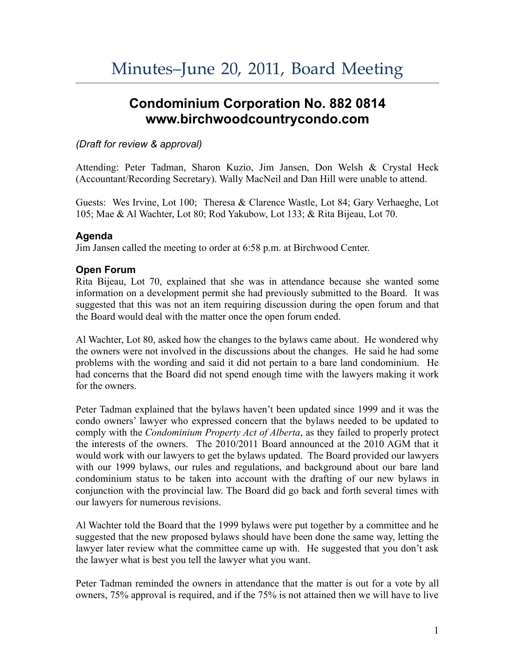# **Condominium Corporation No. 882 0814 www.birchwoodcountrycondo.com**

## *(Draft for review & approval)*

Attending: Peter Tadman, Sharon Kuzio, Jim Jansen, Don Welsh & Crystal Heck (Accountant/Recording Secretary). Wally MacNeil and Dan Hill were unable to attend.

Guests: Wes Irvine, Lot 100; Theresa & Clarence Wastle, Lot 84; Gary Verhaeghe, Lot 105; Mae & Al Wachter, Lot 80; Rod Yakubow, Lot 133; & Rita Bijeau, Lot 70.

## **Agenda**

Jim Jansen called the meeting to order at 6:58 p.m. at Birchwood Center.

# **Open Forum**

Rita Bijeau, Lot 70, explained that she was in attendance because she wanted some information on a development permit she had previously submitted to the Board. It was suggested that this was not an item requiring discussion during the open forum and that the Board would deal with the matter once the open forum ended.

Al Wachter, Lot 80, asked how the changes to the bylaws came about. He wondered why the owners were not involved in the discussions about the changes. He said he had some problems with the wording and said it did not pertain to a bare land condominium. He had concerns that the Board did not spend enough time with the lawyers making it work for the owners.

Peter Tadman explained that the bylaws haven't been updated since 1999 and it was the condo owners' lawyer who expressed concern that the bylaws needed to be updated to comply with the *Condominium Property Act of Alberta*, as they failed to properly protect the interests of the owners. The 2010/2011 Board announced at the 2010 AGM that it would work with our lawyers to get the bylaws updated. The Board provided our lawyers with our 1999 bylaws, our rules and regulations, and background about our bare land condominium status to be taken into account with the drafting of our new bylaws in conjunction with the provincial law. The Board did go back and forth several times with our lawyers for numerous revisions.

Al Wachter told the Board that the 1999 bylaws were put together by a committee and he suggested that the new proposed bylaws should have been done the same way, letting the lawyer later review what the committee came up with. He suggested that you don't ask the lawyer what is best you tell the lawyer what you want.

Peter Tadman reminded the owners in attendance that the matter is out for a vote by all owners, 75% approval is required, and if the 75% is not attained then we will have to live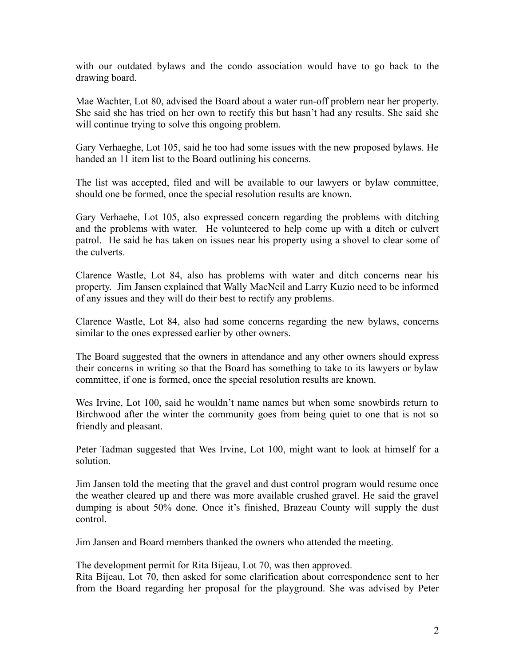with our outdated bylaws and the condo association would have to go back to the drawing board.

Mae Wachter, Lot 80, advised the Board about a water run-off problem near her property. She said she has tried on her own to rectify this but hasn't had any results. She said she will continue trying to solve this ongoing problem.

Gary Verhaeghe, Lot 105, said he too had some issues with the new proposed bylaws. He handed an 11 item list to the Board outlining his concerns.

The list was accepted, filed and will be available to our lawyers or bylaw committee, should one be formed, once the special resolution results are known.

Gary Verhaehe, Lot 105, also expressed concern regarding the problems with ditching and the problems with water. He volunteered to help come up with a ditch or culvert patrol. He said he has taken on issues near his property using a shovel to clear some of the culverts.

Clarence Wastle, Lot 84, also has problems with water and ditch concerns near his property. Jim Jansen explained that Wally MacNeil and Larry Kuzio need to be informed of any issues and they will do their best to rectify any problems.

Clarence Wastle, Lot 84, also had some concerns regarding the new bylaws, concerns similar to the ones expressed earlier by other owners.

The Board suggested that the owners in attendance and any other owners should express their concerns in writing so that the Board has something to take to its lawyers or bylaw committee, if one is formed, once the special resolution results are known.

Wes Irvine, Lot 100, said he wouldn't name names but when some snowbirds return to Birchwood after the winter the community goes from being quiet to one that is not so friendly and pleasant.

Peter Tadman suggested that Wes Irvine, Lot 100, might want to look at himself for a solution.

Jim Jansen told the meeting that the gravel and dust control program would resume once the weather cleared up and there was more available crushed gravel. He said the gravel dumping is about 50% done. Once it's finished, Brazeau County will supply the dust control.

Jim Jansen and Board members thanked the owners who attended the meeting.

The development permit for Rita Bijeau, Lot 70, was then approved.

Rita Bijeau, Lot 70, then asked for some clarification about correspondence sent to her from the Board regarding her proposal for the playground. She was advised by Peter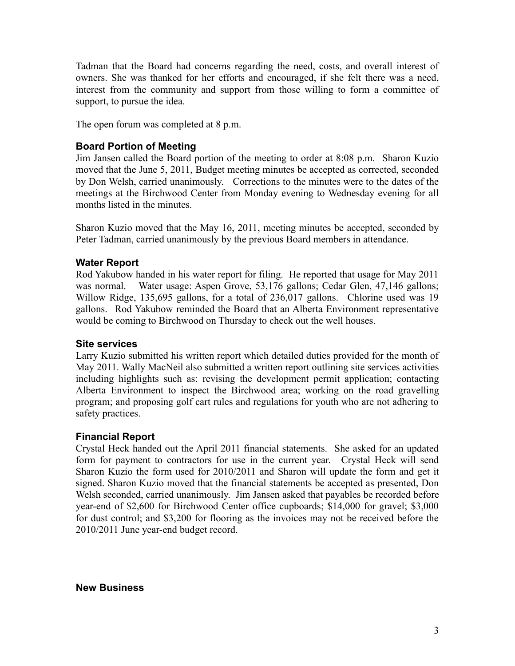Tadman that the Board had concerns regarding the need, costs, and overall interest of owners. She was thanked for her efforts and encouraged, if she felt there was a need, interest from the community and support from those willing to form a committee of support, to pursue the idea.

The open forum was completed at 8 p.m.

## **Board Portion of Meeting**

Jim Jansen called the Board portion of the meeting to order at 8:08 p.m. Sharon Kuzio moved that the June 5, 2011, Budget meeting minutes be accepted as corrected, seconded by Don Welsh, carried unanimously. Corrections to the minutes were to the dates of the meetings at the Birchwood Center from Monday evening to Wednesday evening for all months listed in the minutes.

Sharon Kuzio moved that the May 16, 2011, meeting minutes be accepted, seconded by Peter Tadman, carried unanimously by the previous Board members in attendance.

## **Water Report**

Rod Yakubow handed in his water report for filing. He reported that usage for May 2011 was normal. Water usage: Aspen Grove, 53,176 gallons; Cedar Glen, 47,146 gallons; Willow Ridge, 135,695 gallons, for a total of 236,017 gallons. Chlorine used was 19 gallons. Rod Yakubow reminded the Board that an Alberta Environment representative would be coming to Birchwood on Thursday to check out the well houses.

#### **Site services**

Larry Kuzio submitted his written report which detailed duties provided for the month of May 2011. Wally MacNeil also submitted a written report outlining site services activities including highlights such as: revising the development permit application; contacting Alberta Environment to inspect the Birchwood area; working on the road gravelling program; and proposing golf cart rules and regulations for youth who are not adhering to safety practices.

# **Financial Report**

Crystal Heck handed out the April 2011 financial statements. She asked for an updated form for payment to contractors for use in the current year. Crystal Heck will send Sharon Kuzio the form used for 2010/2011 and Sharon will update the form and get it signed. Sharon Kuzio moved that the financial statements be accepted as presented, Don Welsh seconded, carried unanimously. Jim Jansen asked that payables be recorded before year-end of \$2,600 for Birchwood Center office cupboards; \$14,000 for gravel; \$3,000 for dust control; and \$3,200 for flooring as the invoices may not be received before the 2010/2011 June year-end budget record.

**New Business**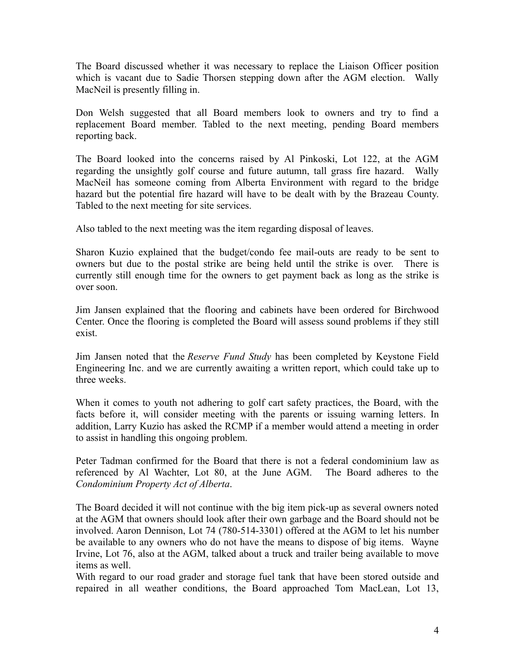The Board discussed whether it was necessary to replace the Liaison Officer position which is vacant due to Sadie Thorsen stepping down after the AGM election. Wally MacNeil is presently filling in.

Don Welsh suggested that all Board members look to owners and try to find a replacement Board member. Tabled to the next meeting, pending Board members reporting back.

The Board looked into the concerns raised by Al Pinkoski, Lot 122, at the AGM regarding the unsightly golf course and future autumn, tall grass fire hazard. Wally MacNeil has someone coming from Alberta Environment with regard to the bridge hazard but the potential fire hazard will have to be dealt with by the Brazeau County. Tabled to the next meeting for site services.

Also tabled to the next meeting was the item regarding disposal of leaves.

Sharon Kuzio explained that the budget/condo fee mail-outs are ready to be sent to owners but due to the postal strike are being held until the strike is over. There is currently still enough time for the owners to get payment back as long as the strike is over soon.

Jim Jansen explained that the flooring and cabinets have been ordered for Birchwood Center. Once the flooring is completed the Board will assess sound problems if they still exist.

Jim Jansen noted that the *Reserve Fund Study* has been completed by Keystone Field Engineering Inc. and we are currently awaiting a written report, which could take up to three weeks.

When it comes to youth not adhering to golf cart safety practices, the Board, with the facts before it, will consider meeting with the parents or issuing warning letters. In addition, Larry Kuzio has asked the RCMP if a member would attend a meeting in order to assist in handling this ongoing problem.

Peter Tadman confirmed for the Board that there is not a federal condominium law as referenced by Al Wachter, Lot 80, at the June AGM. The Board adheres to the *Condominium Property Act of Alberta*.

The Board decided it will not continue with the big item pick-up as several owners noted at the AGM that owners should look after their own garbage and the Board should not be involved. Aaron Dennison, Lot 74 (780-514-3301) offered at the AGM to let his number be available to any owners who do not have the means to dispose of big items. Wayne Irvine, Lot 76, also at the AGM, talked about a truck and trailer being available to move items as well.

With regard to our road grader and storage fuel tank that have been stored outside and repaired in all weather conditions, the Board approached Tom MacLean, Lot 13,